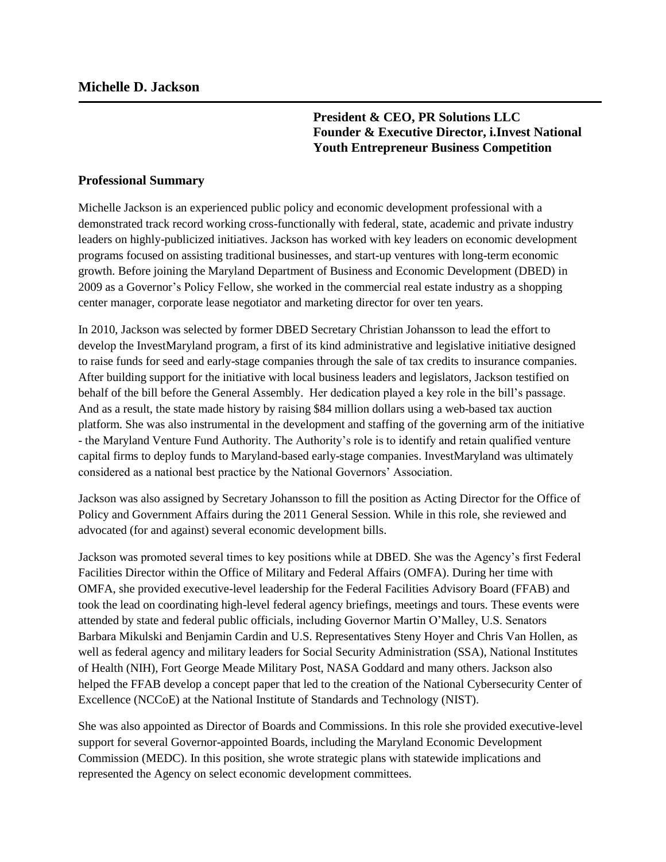**President & CEO, PR Solutions LLC Founder & Executive Director, i.Invest National Youth Entrepreneur Business Competition**

## **Professional Summary**

Michelle Jackson is an experienced public policy and economic development professional with a demonstrated track record working cross-functionally with federal, state, academic and private industry leaders on highly-publicized initiatives. Jackson has worked with key leaders on economic development programs focused on assisting traditional businesses, and start-up ventures with long-term economic growth. Before joining the Maryland Department of Business and Economic Development (DBED) in 2009 as a Governor's Policy Fellow, she worked in the commercial real estate industry as a shopping center manager, corporate lease negotiator and marketing director for over ten years.

In 2010, Jackson was selected by former DBED Secretary Christian Johansson to lead the effort to develop the InvestMaryland program, a first of its kind administrative and legislative initiative designed to raise funds for seed and early-stage companies through the sale of tax credits to insurance companies. After building support for the initiative with local business leaders and legislators, Jackson testified on behalf of the bill before the General Assembly. Her dedication played a key role in the bill's passage. And as a result, the state made history by raising \$84 million dollars using a web-based tax auction platform. She was also instrumental in the development and staffing of the governing arm of the initiative - the Maryland Venture Fund Authority. The Authority's role is to identify and retain qualified venture capital firms to deploy funds to Maryland-based early-stage companies. InvestMaryland was ultimately considered as a national best practice by the National Governors' Association.

Jackson was also assigned by Secretary Johansson to fill the position as Acting Director for the Office of Policy and Government Affairs during the 2011 General Session. While in this role, she reviewed and advocated (for and against) several economic development bills.

Jackson was promoted several times to key positions while at DBED. She was the Agency's first Federal Facilities Director within the Office of Military and Federal Affairs (OMFA). During her time with OMFA, she provided executive-level leadership for the Federal Facilities Advisory Board (FFAB) and took the lead on coordinating high-level federal agency briefings, meetings and tours. These events were attended by state and federal public officials, including Governor Martin O'Malley, U.S. Senators Barbara Mikulski and Benjamin Cardin and U.S. Representatives Steny Hoyer and Chris Van Hollen, as well as federal agency and military leaders for Social Security Administration (SSA), National Institutes of Health (NIH), Fort George Meade Military Post, NASA Goddard and many others. Jackson also helped the FFAB develop a concept paper that led to the creation of the National Cybersecurity Center of Excellence (NCCoE) at the National Institute of Standards and Technology (NIST).

She was also appointed as Director of Boards and Commissions. In this role she provided executive-level support for several Governor-appointed Boards, including the Maryland Economic Development Commission (MEDC). In this position, she wrote strategic plans with statewide implications and represented the Agency on select economic development committees.